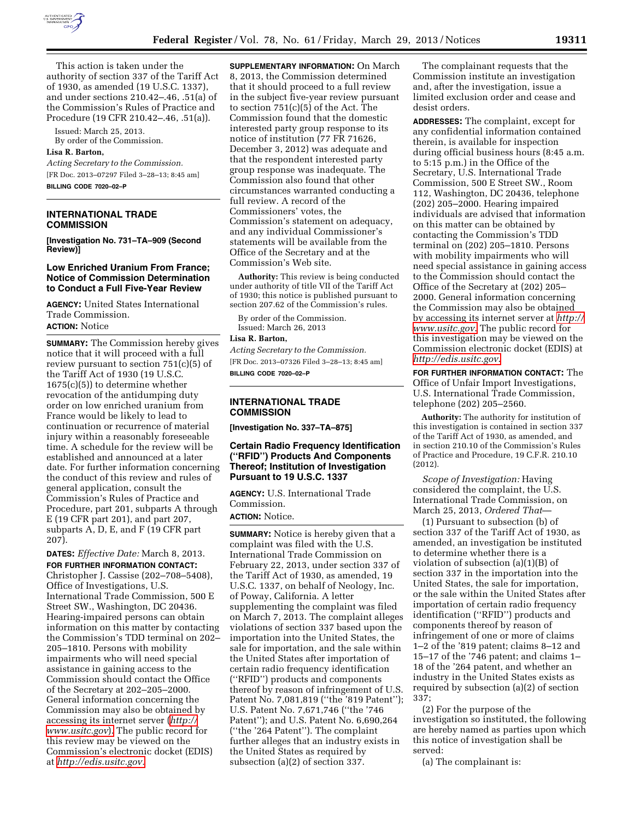

This action is taken under the authority of section 337 of the Tariff Act of 1930, as amended (19 U.S.C. 1337), and under sections 210.42–.46, .51(a) of the Commission's Rules of Practice and Procedure (19 CFR 210.42–.46, .51(a)).

Issued: March 25, 2013. By order of the Commission.

### **Lisa R. Barton,**

*Acting Secretary to the Commission.*  [FR Doc. 2013–07297 Filed 3–28–13; 8:45 am] **BILLING CODE 7020–02–P** 

## **INTERNATIONAL TRADE COMMISSION**

**[Investigation No. 731–TA–909 (Second Review)]** 

## **Low Enriched Uranium From France; Notice of Commission Determination to Conduct a Full Five-Year Review**

**AGENCY:** United States International Trade Commission. **ACTION:** Notice

**SUMMARY:** The Commission hereby gives notice that it will proceed with a full review pursuant to section 751(c)(5) of the Tariff Act of 1930 (19 U.S.C. 1675(c)(5)) to determine whether revocation of the antidumping duty order on low enriched uranium from France would be likely to lead to continuation or recurrence of material injury within a reasonably foreseeable time. A schedule for the review will be established and announced at a later date. For further information concerning the conduct of this review and rules of general application, consult the Commission's Rules of Practice and Procedure, part 201, subparts A through E (19 CFR part 201), and part 207, subparts A, D, E, and F (19 CFR part 207).

**DATES:** *Effective Date:* March 8, 2013. **FOR FURTHER INFORMATION CONTACT:**  Christopher J. Cassise (202–708–5408), Office of Investigations, U.S. International Trade Commission, 500 E Street SW., Washington, DC 20436. Hearing-impaired persons can obtain information on this matter by contacting the Commission's TDD terminal on 202– 205–1810. Persons with mobility impairments who will need special assistance in gaining access to the Commission should contact the Office of the Secretary at 202–205–2000. General information concerning the Commission may also be obtained by accessing its internet server (*[http://](http://www.usitc.gov)  [www.usitc.gov](http://www.usitc.gov)*). The public record for this review may be viewed on the Commission's electronic docket (EDIS) at *[http://edis.usitc.gov.](http://edis.usitc.gov)* 

**SUPPLEMENTARY INFORMATION:** On March 8, 2013, the Commission determined that it should proceed to a full review in the subject five-year review pursuant to section 751(c)(5) of the Act. The Commission found that the domestic interested party group response to its notice of institution (77 FR 71626, December 3, 2012) was adequate and that the respondent interested party group response was inadequate. The Commission also found that other circumstances warranted conducting a full review. A record of the Commissioners' votes, the Commission's statement on adequacy, and any individual Commissioner's statements will be available from the Office of the Secretary and at the Commission's Web site.

**Authority:** This review is being conducted under authority of title VII of the Tariff Act of 1930; this notice is published pursuant to section 207.62 of the Commission's rules.

By order of the Commission. Issued: March 26, 2013

#### **Lisa R. Barton,**

*Acting Secretary to the Commission.*  [FR Doc. 2013–07326 Filed 3–28–13; 8:45 am] **BILLING CODE 7020–02–P** 

### **INTERNATIONAL TRADE COMMISSION**

**[Investigation No. 337–TA–875]** 

# **Certain Radio Frequency Identification (''RFID'') Products And Components Thereof; Institution of Investigation Pursuant to 19 U.S.C. 1337**

**AGENCY:** U.S. International Trade Commission.

## **ACTION:** Notice.

**SUMMARY:** Notice is hereby given that a complaint was filed with the U.S. International Trade Commission on February 22, 2013, under section 337 of the Tariff Act of 1930, as amended, 19 U.S.C. 1337, on behalf of Neology, Inc. of Poway, California. A letter supplementing the complaint was filed on March 7, 2013. The complaint alleges violations of section 337 based upon the importation into the United States, the sale for importation, and the sale within the United States after importation of certain radio frequency identification (''RFID'') products and components thereof by reason of infringement of U.S. Patent No. 7,081,819 (''the '819 Patent''); U.S. Patent No. 7,671,746 (''the '746 Patent''); and U.S. Patent No. 6,690,264 (''the '264 Patent''). The complaint further alleges that an industry exists in the United States as required by subsection (a)(2) of section 337.

The complainant requests that the Commission institute an investigation and, after the investigation, issue a limited exclusion order and cease and desist orders.

**ADDRESSES:** The complaint, except for any confidential information contained therein, is available for inspection during official business hours (8:45 a.m. to 5:15 p.m.) in the Office of the Secretary, U.S. International Trade Commission, 500 E Street SW., Room 112, Washington, DC 20436, telephone (202) 205–2000. Hearing impaired individuals are advised that information on this matter can be obtained by contacting the Commission's TDD terminal on (202) 205–1810. Persons with mobility impairments who will need special assistance in gaining access to the Commission should contact the Office of the Secretary at (202) 205– 2000. General information concerning the Commission may also be obtained by accessing its internet server at *[http://](http://www.usitc.gov) [www.usitc.gov](http://www.usitc.gov)*. The public record for this investigation may be viewed on the Commission electronic docket (EDIS) at *<http://edis.usitc.gov>*.

**FOR FURTHER INFORMATION CONTACT:** The Office of Unfair Import Investigations, U.S. International Trade Commission, telephone (202) 205–2560.

**Authority:** The authority for institution of this investigation is contained in section 337 of the Tariff Act of 1930, as amended, and in section 210.10 of the Commission's Rules of Practice and Procedure, 19 C.F.R. 210.10 (2012).

*Scope of Investigation:* Having considered the complaint, the U.S. International Trade Commission, on March 25, 2013, *Ordered That*—

(1) Pursuant to subsection (b) of section 337 of the Tariff Act of 1930, as amended, an investigation be instituted to determine whether there is a violation of subsection (a)(1)(B) of section 337 in the importation into the United States, the sale for importation, or the sale within the United States after importation of certain radio frequency identification (''RFID'') products and components thereof by reason of infringement of one or more of claims 1–2 of the '819 patent; claims 8–12 and 15–17 of the '746 patent; and claims 1– 18 of the '264 patent, and whether an industry in the United States exists as required by subsection (a)(2) of section 337;

(2) For the purpose of the investigation so instituted, the following are hereby named as parties upon which this notice of investigation shall be served:

(a) The complainant is: